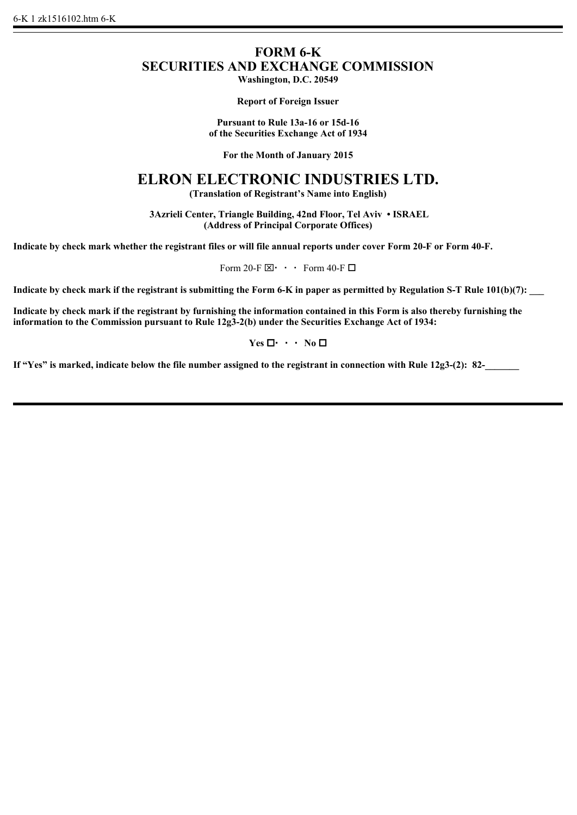# **FORM 6-K SECURITIES AND EXCHANGE COMMISSION**

**Washington, D.C. 20549**

**Report of Foreign Issuer**

**Pursuant to Rule 13a-16 or 15d-16 of the Securities Exchange Act of 1934**

**For the Month of January 2015**

## **ELRON ELECTRONIC INDUSTRIES LTD.**

**(Translation of Registrant's Name into English)**

 **3Azrieli Center, Triangle Building, 42nd Floor, Tel Aviv • ISRAEL (Address of Principal Corporate Offices)**

**Indicate by check mark whether the registrant files or will file annual reports under cover Form 20-F or Form 40-F.**

Form 20-F $\boxtimes$   $\cdot$  Form 40-F $\square$ 

**Indicate by check mark if the registrant is submitting the Form 6-K in paper as permitted by Regulation S-T Rule 101(b)(7):** 

**Indicate by check mark if the registrant by furnishing the information contained in this Form is also thereby furnishing the information to the Commission pursuant to Rule 12g3-2(b) under the Securities Exchange Act of 1934:**

 $Yes \Box \cdot \cdot \cdot No \Box$ 

If "Yes" is marked, indicate below the file number assigned to the registrant in connection with Rule 12g3-(2): 82-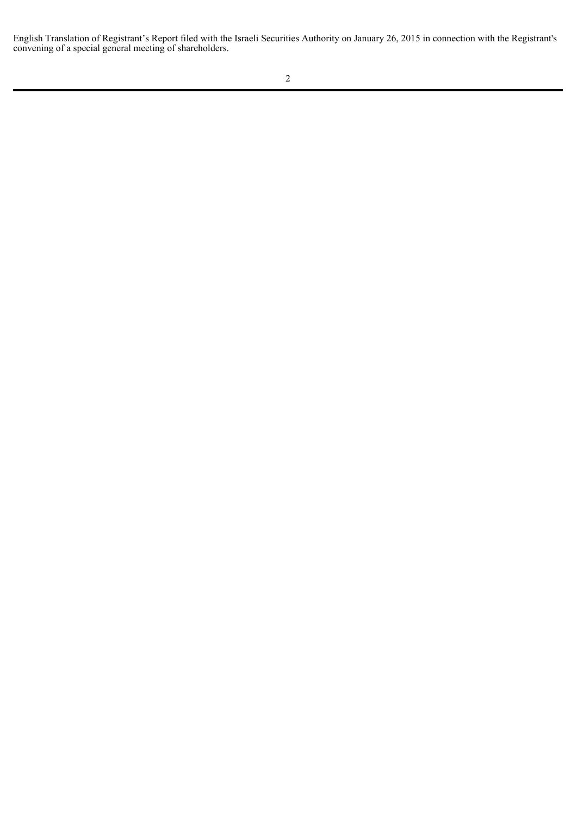English Translation of Registrant's Report filed with the Israeli Securities Authority on January 26, 2015 in connection with the Registrant's convening of a special general meeting of shareholders.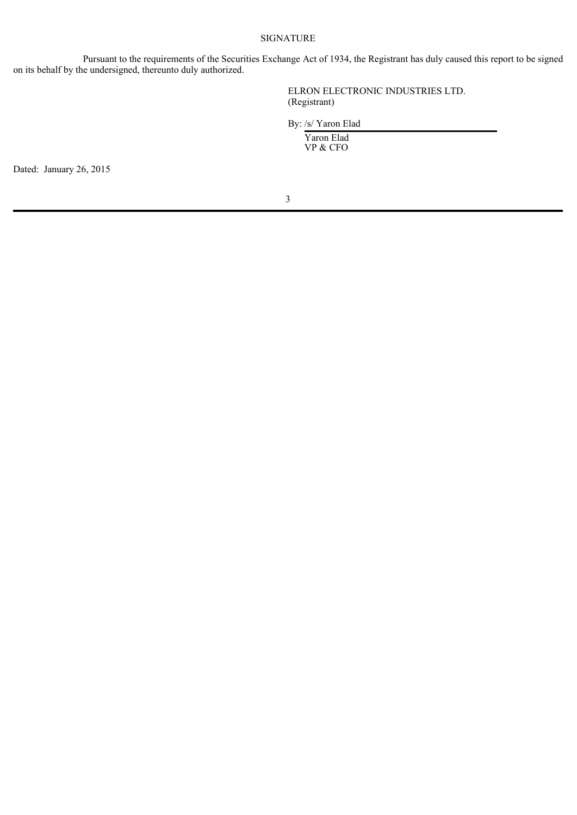#### SIGNATURE

Pursuant to the requirements of the Securities Exchange Act of 1934, the Registrant has duly caused this report to be signed on its behalf by the undersigned, thereunto duly authorized.

> ELRON ELECTRONIC INDUSTRIES LTD. (Registrant)

By: /s/ Yaron Elad

Yaron Elad VP & CFO

Dated: January 26, 2015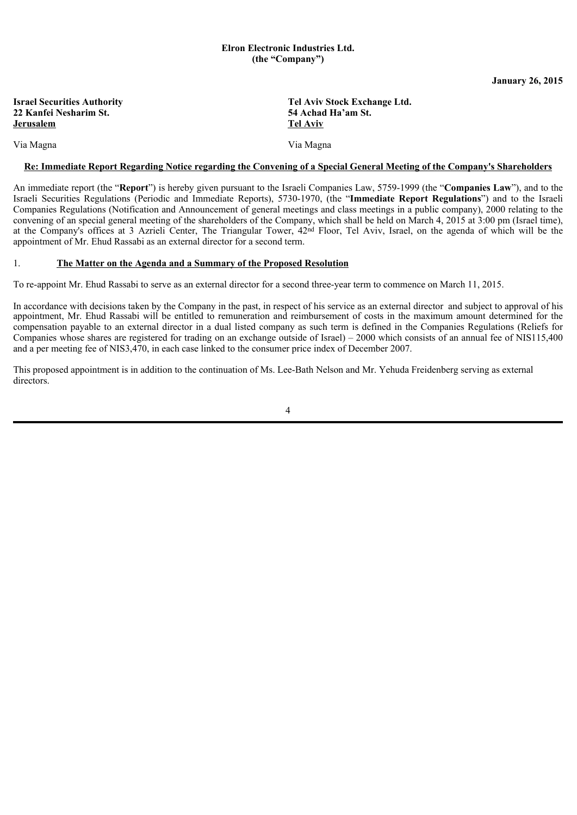#### **Elron Electronic Industries Ltd. (the "Company")**

**January 26, 2015**

| <b>Israel Securities Authority</b> |
|------------------------------------|
| 22 Kanfei Nesharim St.             |
| Jerusalem                          |

**Tel Aviv Stock Exchange Ltd. 22 Kanfei Nesharim St. 54 Achad Ha'am St. Tel Aviv** 

Via Magna Via Magna

#### **Re: Immediate Report Regarding Notice regarding the Convening of a Special General Meeting of the Company's Shareholders**

An immediate report (the "**Report**") is hereby given pursuant to the Israeli Companies Law, 5759-1999 (the "**Companies Law**"), and to the Israeli Securities Regulations (Periodic and Immediate Reports), 5730-1970, (the "**Immediate Report Regulations**") and to the Israeli Companies Regulations (Notification and Announcement of general meetings and class meetings in a public company), 2000 relating to the convening of an special general meeting of the shareholders of the Company, which shall be held on March 4, 2015 at 3:00 pm (Israel time), at the Company's offices at 3 Azrieli Center, The Triangular Tower, 42nd Floor, Tel Aviv, Israel, on the agenda of which will be the appointment of Mr. Ehud Rassabi as an external director for a second term.

#### 1. **The Matter on the Agenda and a Summary of the Proposed Resolution**

To re-appoint Mr. Ehud Rassabi to serve as an external director for a second three-year term to commence on March 11, 2015.

In accordance with decisions taken by the Company in the past, in respect of his service as an external director and subject to approval of his appointment, Mr. Ehud Rassabi will be entitled to remuneration and reimbursement of costs in the maximum amount determined for the compensation payable to an external director in a dual listed company as such term is defined in the Companies Regulations (Reliefs for Companies whose shares are registered for trading on an exchange outside of Israel) – 2000 which consists of an annual fee of NIS115,400 and a per meeting fee of NIS3,470, in each case linked to the consumer price index of December 2007.

This proposed appointment is in addition to the continuation of Ms. Lee-Bath Nelson and Mr. Yehuda Freidenberg serving as external directors.

4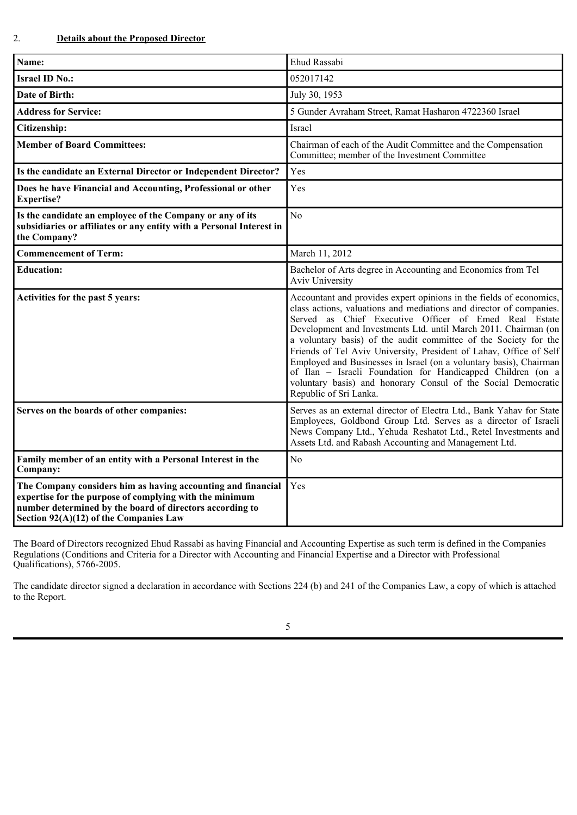| Name:                                                                                                                                             | Ehud Rassabi                                                                                                                                                                                                                                                                                                                                                                                                                                                                                                                                                                                                                                     |  |  |
|---------------------------------------------------------------------------------------------------------------------------------------------------|--------------------------------------------------------------------------------------------------------------------------------------------------------------------------------------------------------------------------------------------------------------------------------------------------------------------------------------------------------------------------------------------------------------------------------------------------------------------------------------------------------------------------------------------------------------------------------------------------------------------------------------------------|--|--|
| <b>Israel ID No.:</b>                                                                                                                             | 052017142                                                                                                                                                                                                                                                                                                                                                                                                                                                                                                                                                                                                                                        |  |  |
| Date of Birth:                                                                                                                                    | July 30, 1953                                                                                                                                                                                                                                                                                                                                                                                                                                                                                                                                                                                                                                    |  |  |
| <b>Address for Service:</b>                                                                                                                       | 5 Gunder Avraham Street, Ramat Hasharon 4722360 Israel                                                                                                                                                                                                                                                                                                                                                                                                                                                                                                                                                                                           |  |  |
| Citizenship:                                                                                                                                      | Israel                                                                                                                                                                                                                                                                                                                                                                                                                                                                                                                                                                                                                                           |  |  |
| <b>Member of Board Committees:</b>                                                                                                                | Chairman of each of the Audit Committee and the Compensation<br>Committee; member of the Investment Committee                                                                                                                                                                                                                                                                                                                                                                                                                                                                                                                                    |  |  |
| Is the candidate an External Director or Independent Director?                                                                                    | Yes                                                                                                                                                                                                                                                                                                                                                                                                                                                                                                                                                                                                                                              |  |  |
| Does he have Financial and Accounting, Professional or other<br><b>Expertise?</b>                                                                 | Yes                                                                                                                                                                                                                                                                                                                                                                                                                                                                                                                                                                                                                                              |  |  |
| Is the candidate an employee of the Company or any of its<br>subsidiaries or affiliates or any entity with a Personal Interest in<br>the Company? | N <sub>o</sub>                                                                                                                                                                                                                                                                                                                                                                                                                                                                                                                                                                                                                                   |  |  |
| <b>Commencement of Term:</b>                                                                                                                      | March 11, 2012                                                                                                                                                                                                                                                                                                                                                                                                                                                                                                                                                                                                                                   |  |  |
| <b>Education:</b>                                                                                                                                 | Bachelor of Arts degree in Accounting and Economics from Tel<br>Aviv University                                                                                                                                                                                                                                                                                                                                                                                                                                                                                                                                                                  |  |  |
| Activities for the past 5 years:                                                                                                                  | Accountant and provides expert opinions in the fields of economics,<br>class actions, valuations and mediations and director of companies.<br>Served as Chief Executive Officer of Emed Real Estate<br>Development and Investments Ltd. until March 2011. Chairman (on<br>a voluntary basis) of the audit committee of the Society for the<br>Friends of Tel Aviv University, President of Lahav, Office of Self<br>Employed and Businesses in Israel (on a voluntary basis), Chairman<br>of Ilan - Israeli Foundation for Handicapped Children (on a<br>voluntary basis) and honorary Consul of the Social Democratic<br>Republic of Sri Lanka. |  |  |
| Serves on the boards of other companies:                                                                                                          | Serves as an external director of Electra Ltd., Bank Yahav for State<br>Employees, Goldbond Group Ltd. Serves as a director of Israeli<br>News Company Ltd., Yehuda Reshatot Ltd., Retel Investments and<br>Assets Ltd. and Rabash Accounting and Management Ltd.                                                                                                                                                                                                                                                                                                                                                                                |  |  |
| Family member of an entity with a Personal Interest in the<br>Company:                                                                            | N <sub>0</sub>                                                                                                                                                                                                                                                                                                                                                                                                                                                                                                                                                                                                                                   |  |  |
| The Company considers him as having accounting and financial<br>expertise for the purpose of complying with the minimum                           | Yes                                                                                                                                                                                                                                                                                                                                                                                                                                                                                                                                                                                                                                              |  |  |

The Board of Directors recognized Ehud Rassabi as having Financial and Accounting Expertise as such term is defined in the Companies Regulations (Conditions and Criteria for a Director with Accounting and Financial Expertise and a Director with Professional Qualifications), 5766-2005.

The candidate director signed a declaration in accordance with Sections 224 (b) and 241 of the Companies Law, a copy of which is attached to the Report.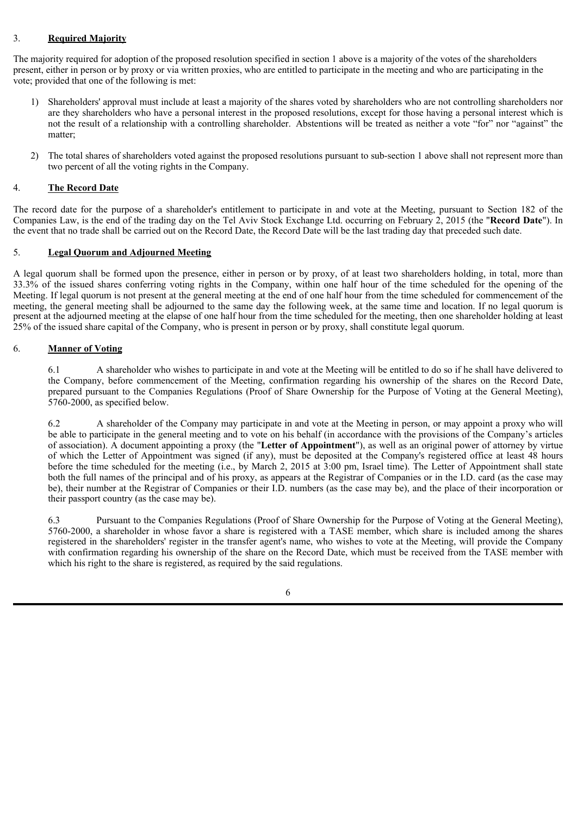#### 3. **Required Majority**

The majority required for adoption of the proposed resolution specified in section 1 above is a majority of the votes of the shareholders present, either in person or by proxy or via written proxies, who are entitled to participate in the meeting and who are participating in the vote; provided that one of the following is met:

- 1) Shareholders' approval must include at least a majority of the shares voted by shareholders who are not controlling shareholders nor are they shareholders who have a personal interest in the proposed resolutions, except for those having a personal interest which is not the result of a relationship with a controlling shareholder. Abstentions will be treated as neither a vote "for" nor "against" the matter;
- 2) The total shares of shareholders voted against the proposed resolutions pursuant to sub-section 1 above shall not represent more than two percent of all the voting rights in the Company.

#### 4. **The Record Date**

The record date for the purpose of a shareholder's entitlement to participate in and vote at the Meeting, pursuant to Section 182 of the Companies Law, is the end of the trading day on the Tel Aviv Stock Exchange Ltd. occurring on February 2, 2015 (the "**Record Date**"). In the event that no trade shall be carried out on the Record Date, the Record Date will be the last trading day that preceded such date.

#### 5. **Legal Quorum and Adjourned Meeting**

A legal quorum shall be formed upon the presence, either in person or by proxy, of at least two shareholders holding, in total, more than 33.3% of the issued shares conferring voting rights in the Company, within one half hour of the time scheduled for the opening of the Meeting. If legal quorum is not present at the general meeting at the end of one half hour from the time scheduled for commencement of the meeting, the general meeting shall be adjourned to the same day the following week, at the same time and location. If no legal quorum is present at the adjourned meeting at the elapse of one half hour from the time scheduled for the meeting, then one shareholder holding at least 25% of the issued share capital of the Company, who is present in person or by proxy, shall constitute legal quorum.

#### 6. **Manner of Voting**

6.1 A shareholder who wishes to participate in and vote at the Meeting will be entitled to do so if he shall have delivered to the Company, before commencement of the Meeting, confirmation regarding his ownership of the shares on the Record Date, prepared pursuant to the Companies Regulations (Proof of Share Ownership for the Purpose of Voting at the General Meeting), 5760-2000, as specified below.

6.2 A shareholder of the Company may participate in and vote at the Meeting in person, or may appoint a proxy who will be able to participate in the general meeting and to vote on his behalf (in accordance with the provisions of the Company's articles of association). A document appointing a proxy (the "**Letter of Appointment**"), as well as an original power of attorney by virtue of which the Letter of Appointment was signed (if any), must be deposited at the Company's registered office at least 48 hours before the time scheduled for the meeting (i.e., by March 2, 2015 at 3:00 pm, Israel time). The Letter of Appointment shall state both the full names of the principal and of his proxy, as appears at the Registrar of Companies or in the I.D. card (as the case may be), their number at the Registrar of Companies or their I.D. numbers (as the case may be), and the place of their incorporation or their passport country (as the case may be).

6.3 Pursuant to the Companies Regulations (Proof of Share Ownership for the Purpose of Voting at the General Meeting), 5760-2000, a shareholder in whose favor a share is registered with a TASE member, which share is included among the shares registered in the shareholders' register in the transfer agent's name, who wishes to vote at the Meeting, will provide the Company with confirmation regarding his ownership of the share on the Record Date, which must be received from the TASE member with which his right to the share is registered, as required by the said regulations.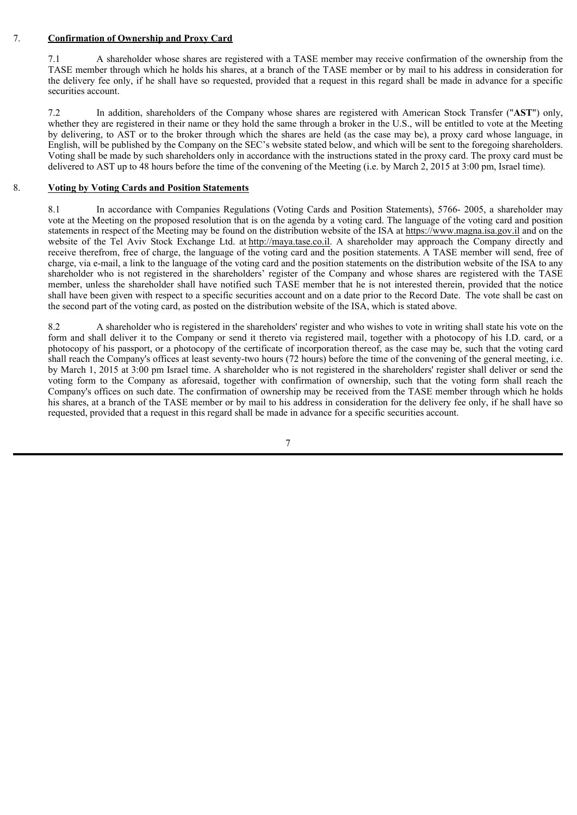#### 7. **Confirmation of Ownership and Proxy Card**

7.1 A shareholder whose shares are registered with a TASE member may receive confirmation of the ownership from the TASE member through which he holds his shares, at a branch of the TASE member or by mail to his address in consideration for the delivery fee only, if he shall have so requested, provided that a request in this regard shall be made in advance for a specific securities account.

7.2 In addition, shareholders of the Company whose shares are registered with American Stock Transfer ("**AST**") only, whether they are registered in their name or they hold the same through a broker in the U.S., will be entitled to vote at the Meeting by delivering, to AST or to the broker through which the shares are held (as the case may be), a proxy card whose language, in English, will be published by the Company on the SEC's website stated below, and which will be sent to the foregoing shareholders. Voting shall be made by such shareholders only in accordance with the instructions stated in the proxy card. The proxy card must be delivered to AST up to 48 hours before the time of the convening of the Meeting (i.e. by March 2, 2015 at 3:00 pm, Israel time).

#### 8. **Voting by Voting Cards and Position Statements**

8.1 In accordance with Companies Regulations (Voting Cards and Position Statements), 5766- 2005, a shareholder may vote at the Meeting on the proposed resolution that is on the agenda by a voting card. The language of the voting card and position statements in respect of the Meeting may be found on the distribution website of the ISA at https://www.magna.isa.gov.il and on the website of the Tel Aviv Stock Exchange Ltd. at http://maya.tase.co.il. A shareholder may approach the Company directly and receive therefrom, free of charge, the language of the voting card and the position statements. A TASE member will send, free of charge, via e-mail, a link to the language of the voting card and the position statements on the distribution website of the ISA to any shareholder who is not registered in the shareholders' register of the Company and whose shares are registered with the TASE member, unless the shareholder shall have notified such TASE member that he is not interested therein, provided that the notice shall have been given with respect to a specific securities account and on a date prior to the Record Date. The vote shall be cast on the second part of the voting card, as posted on the distribution website of the ISA, which is stated above.

8.2 A shareholder who is registered in the shareholders' register and who wishes to vote in writing shall state his vote on the form and shall deliver it to the Company or send it thereto via registered mail, together with a photocopy of his I.D. card, or a photocopy of his passport, or a photocopy of the certificate of incorporation thereof, as the case may be, such that the voting card shall reach the Company's offices at least seventy-two hours (72 hours) before the time of the convening of the general meeting, i.e. by March 1, 2015 at 3:00 pm Israel time. A shareholder who is not registered in the shareholders' register shall deliver or send the voting form to the Company as aforesaid, together with confirmation of ownership, such that the voting form shall reach the Company's offices on such date. The confirmation of ownership may be received from the TASE member through which he holds his shares, at a branch of the TASE member or by mail to his address in consideration for the delivery fee only, if he shall have so requested, provided that a request in this regard shall be made in advance for a specific securities account.

7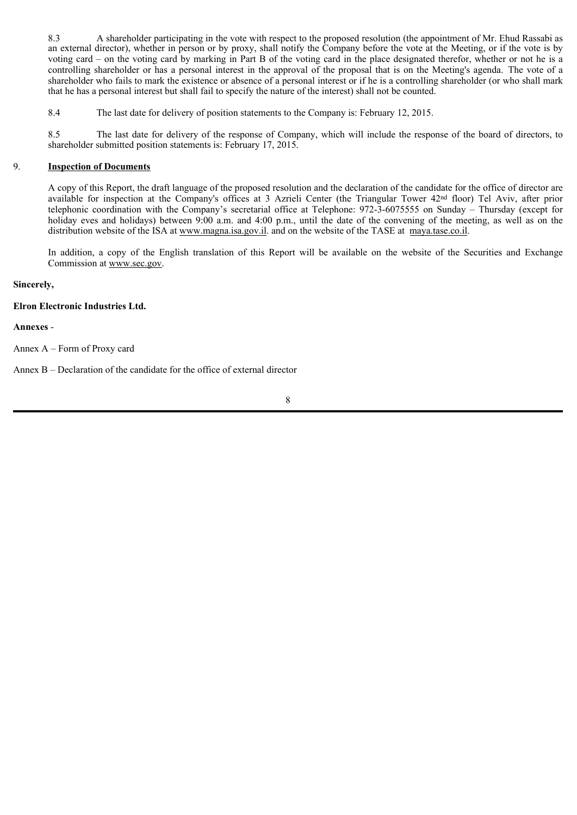8.3 A shareholder participating in the vote with respect to the proposed resolution (the appointment of Mr. Ehud Rassabi as an external director), whether in person or by proxy, shall notify the Company before the vote at the Meeting, or if the vote is by voting card – on the voting card by marking in Part B of the voting card in the place designated therefor, whether or not he is a controlling shareholder or has a personal interest in the approval of the proposal that is on the Meeting's agenda. The vote of a shareholder who fails to mark the existence or absence of a personal interest or if he is a controlling shareholder (or who shall mark that he has a personal interest but shall fail to specify the nature of the interest) shall not be counted.

8.4 The last date for delivery of position statements to the Company is: February 12, 2015.

8.5 The last date for delivery of the response of Company, which will include the response of the board of directors, to shareholder submitted position statements is: February 17, 2015.

#### 9. **Inspection of Documents**

A copy of this Report, the draft language of the proposed resolution and the declaration of the candidate for the office of director are available for inspection at the Company's offices at 3 Azrieli Center (the Triangular Tower 42nd floor) Tel Aviv, after prior telephonic coordination with the Company's secretarial office at Telephone: 972-3-6075555 on Sunday – Thursday (except for holiday eves and holidays) between 9:00 a.m. and 4:00 p.m., until the date of the convening of the meeting, as well as on the distribution website of the ISA at www.magna.isa.gov.il. and on the website of the TASE at maya.tase.co.il.

In addition, a copy of the English translation of this Report will be available on the website of the Securities and Exchange Commission at www.sec.gov.

#### **Sincerely,**

#### **Elron Electronic Industries Ltd.**

#### **Annexes** -

Annex A – Form of Proxy card

Annex B – Declaration of the candidate for the office of external director

8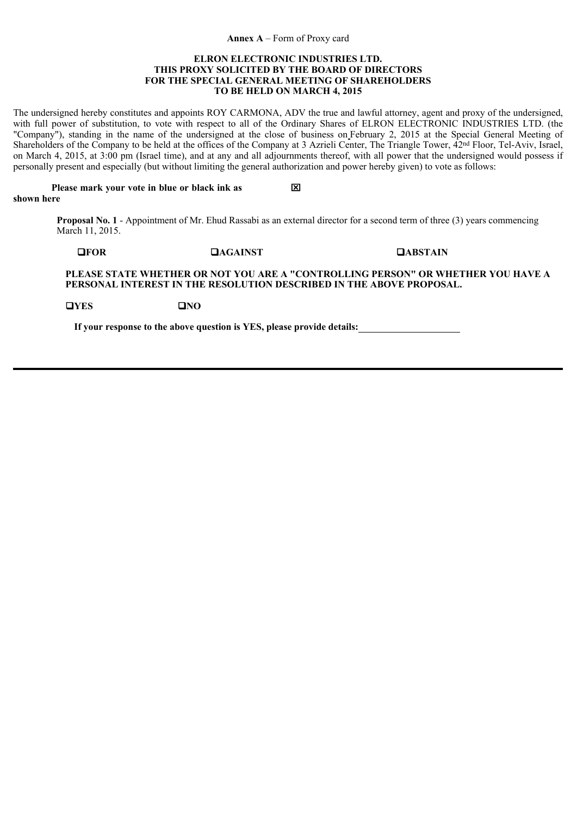#### **Annex A** – Form of Proxy card

#### **ELRON ELECTRONIC INDUSTRIES LTD. THIS PROXY SOLICITED BY THE BOARD OF DIRECTORS FOR THE SPECIAL GENERAL MEETING OF SHAREHOLDERS TO BE HELD ON MARCH 4, 2015**

The undersigned hereby constitutes and appoints ROY CARMONA, ADV the true and lawful attorney, agent and proxy of the undersigned, with full power of substitution, to vote with respect to all of the Ordinary Shares of ELRON ELECTRONIC INDUSTRIES LTD. (the "Company"), standing in the name of the undersigned at the close of business on February 2, 2015 at the Special General Meeting of Shareholders of the Company to be held at the offices of the Company at 3 Azrieli Center, The Triangle Tower, 42nd Floor, Tel-Aviv, Israel, on March 4, 2015, at 3:00 pm (Israel time), and at any and all adjournments thereof, with all power that the undersigned would possess if personally present and especially (but without limiting the general authorization and power hereby given) to vote as follows:

 **Please mark your vote in blue or black ink as shown here**  $\mathbf{\overline{X}}$ 

> **Proposal No. 1** - Appointment of Mr. Ehud Rassabi as an external director for a second term of three (3) years commencing March 11, 2015.

**FOR AGAINST ABSTAIN**

**PLEASE STATE WHETHER OR NOT YOU ARE A "CONTROLLING PERSON" OR WHETHER YOU HAVE A PERSONAL INTEREST IN THE RESOLUTION DESCRIBED IN THE ABOVE PROPOSAL.**

**EXECUTE:** EXECUTE **PO** 

**If your response to the above question is YES, please provide details:**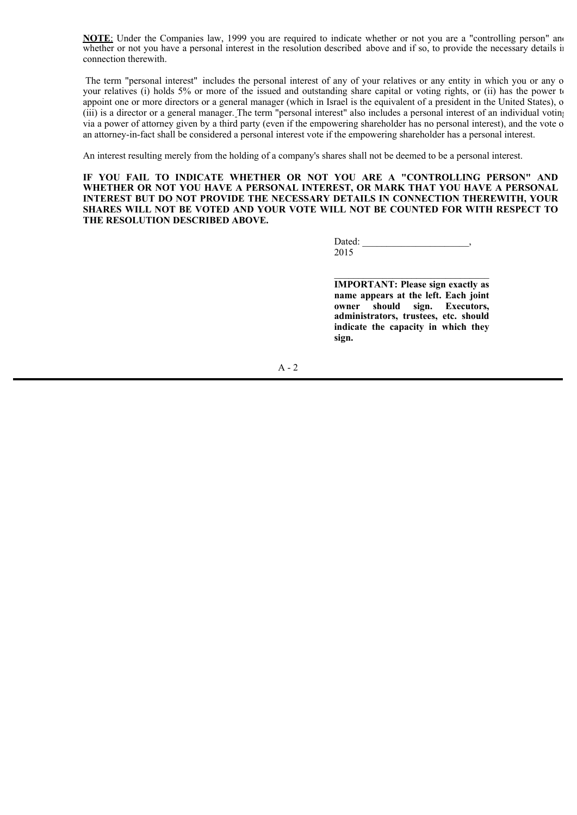**NOTE:** Under the Companies law, 1999 you are required to indicate whether or not you are a "controlling person" and whether or not you have a personal interest in the resolution described above and if so, to provide the necessary details in connection therewith.

The term "personal interest" includes the personal interest of any of your relatives or any entity in which you or any o your relatives (i) holds 5% or more of the issued and outstanding share capital or voting rights, or (ii) has the power to appoint one or more directors or a general manager (which in Israel is the equivalent of a president in the United States), o (iii) is a director or a general manager. The term "personal interest" also includes a personal interest of an individual voting via a power of attorney given by a third party (even if the empowering shareholder has no personal interest), and the vote o an attorney-in-fact shall be considered a personal interest vote if the empowering shareholder has a personal interest.

An interest resulting merely from the holding of a company's shares shall not be deemed to be a personal interest.

**IF YOU FAIL TO INDICATE WHETHER OR NOT YOU ARE A "CONTROLLING PERSON" AND WHETHER OR NOT YOU HAVE A PERSONAL INTEREST, OR MARK THAT YOU HAVE A PERSONAL INTEREST BUT DO NOT PROVIDE THE NECESSARY DETAILS IN CONNECTION THEREWITH, YOUR SHARES WILL NOT BE VOTED AND YOUR VOTE WILL NOT BE COUNTED FOR WITH RESPECT TO THE RESOLUTION DESCRIBED ABOVE.**

> Dated: 2015

**IMPORTANT: Please sign exactly as name appears at the left. Each joint owner should sign. Executors, administrators, trustees, etc. should indicate the capacity in which they sign.**

 $\mathcal{L}=\mathcal{L}=\mathcal{L}=\mathcal{L}=\mathcal{L}=\mathcal{L}=\mathcal{L}=\mathcal{L}=\mathcal{L}=\mathcal{L}=\mathcal{L}=\mathcal{L}=\mathcal{L}=\mathcal{L}=\mathcal{L}=\mathcal{L}=\mathcal{L}=\mathcal{L}=\mathcal{L}=\mathcal{L}=\mathcal{L}=\mathcal{L}=\mathcal{L}=\mathcal{L}=\mathcal{L}=\mathcal{L}=\mathcal{L}=\mathcal{L}=\mathcal{L}=\mathcal{L}=\mathcal{L}=\mathcal{L}=\mathcal{L}=\mathcal{L}=\mathcal{L}=\mathcal{L}=\mathcal{$ 

A - 2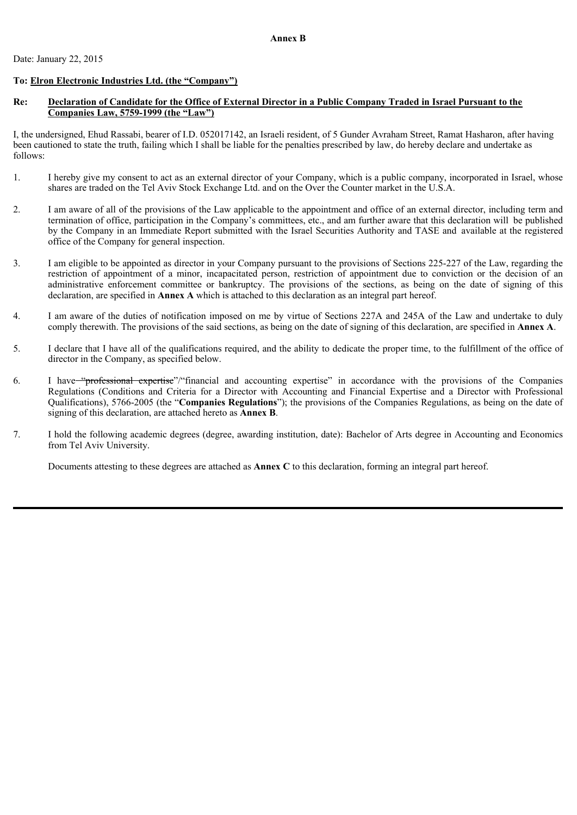### **To: Elron Electronic Industries Ltd. (the "Company")**

#### **Re: Declaration of Candidate for the Office of External Director in a Public Company Traded in Israel Pursuant to the Companies Law, 5759-1999 (the "Law")**

I, the undersigned, Ehud Rassabi, bearer of I.D. 052017142, an Israeli resident, of 5 Gunder Avraham Street, Ramat Hasharon, after having been cautioned to state the truth, failing which I shall be liable for the penalties prescribed by law, do hereby declare and undertake as follows:

- 1. I hereby give my consent to act as an external director of your Company, which is a public company, incorporated in Israel, whose shares are traded on the Tel Aviv Stock Exchange Ltd. and on the Over the Counter market in the U.S.A.
- 2. I am aware of all of the provisions of the Law applicable to the appointment and office of an external director, including term and termination of office, participation in the Company's committees, etc., and am further aware that this declaration will be published by the Company in an Immediate Report submitted with the Israel Securities Authority and TASE and available at the registered office of the Company for general inspection.
- 3. I am eligible to be appointed as director in your Company pursuant to the provisions of Sections 225-227 of the Law, regarding the restriction of appointment of a minor, incapacitated person, restriction of appointment due to conviction or the decision of an administrative enforcement committee or bankruptcy. The provisions of the sections, as being on the date of signing of this declaration, are specified in **Annex A** which is attached to this declaration as an integral part hereof.
- 4. I am aware of the duties of notification imposed on me by virtue of Sections 227A and 245A of the Law and undertake to duly comply therewith. The provisions of the said sections, as being on the date of signing of this declaration, are specified in **Annex A**.
- 5. I declare that I have all of the qualifications required, and the ability to dedicate the proper time, to the fulfillment of the office of director in the Company, as specified below.
- 6. I have "professional expertise"/"financial and accounting expertise" in accordance with the provisions of the Companies Regulations (Conditions and Criteria for a Director with Accounting and Financial Expertise and a Director with Professional Qualifications), 5766-2005 (the "**Companies Regulations**"); the provisions of the Companies Regulations, as being on the date of signing of this declaration, are attached hereto as **Annex B**.
- 7. I hold the following academic degrees (degree, awarding institution, date): Bachelor of Arts degree in Accounting and Economics from Tel Aviv University.

Documents attesting to these degrees are attached as **Annex C** to this declaration, forming an integral part hereof.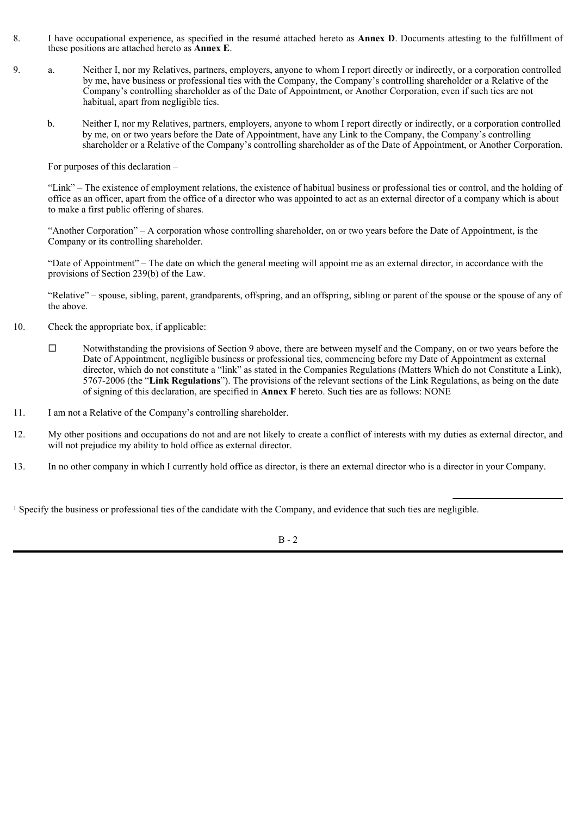- 8. I have occupational experience, as specified in the resumé attached hereto as **Annex D**. Documents attesting to the fulfillment of these positions are attached hereto as **Annex E**.
- 9. a. Neither I, nor my Relatives, partners, employers, anyone to whom I report directly or indirectly, or a corporation controlled by me, have business or professional ties with the Company, the Company's controlling shareholder or a Relative of the Company's controlling shareholder as of the Date of Appointment, or Another Corporation, even if such ties are not habitual, apart from negligible ties.
	- b. Neither I, nor my Relatives, partners, employers, anyone to whom I report directly or indirectly, or a corporation controlled by me, on or two years before the Date of Appointment, have any Link to the Company, the Company's controlling shareholder or a Relative of the Company's controlling shareholder as of the Date of Appointment, or Another Corporation.

For purposes of this declaration –

"Link" – The existence of employment relations, the existence of habitual business or professional ties or control, and the holding of office as an officer, apart from the office of a director who was appointed to act as an external director of a company which is about to make a first public offering of shares.

"Another Corporation" – A corporation whose controlling shareholder, on or two years before the Date of Appointment, is the Company or its controlling shareholder.

"Date of Appointment" – The date on which the general meeting will appoint me as an external director, in accordance with the provisions of Section 239(b) of the Law.

"Relative" – spouse, sibling, parent, grandparents, offspring, and an offspring, sibling or parent of the spouse or the spouse of any of the above.

- 10. Check the appropriate box, if applicable:
	- $\Box$  Notwithstanding the provisions of Section 9 above, there are between myself and the Company, on or two years before the Date of Appointment, negligible business or professional ties, commencing before my Date of Appointment as external director, which do not constitute a "link" as stated in the Companies Regulations (Matters Which do not Constitute a Link), 5767-2006 (the "**Link Regulations**"). The provisions of the relevant sections of the Link Regulations, as being on the date of signing of this declaration, are specified in **Annex F** hereto. Such ties are as follows: NONE
- 11. I am not a Relative of the Company's controlling shareholder.
- 12. My other positions and occupations do not and are not likely to create a conflict of interests with my duties as external director, and will not prejudice my ability to hold office as external director.
- 13. In no other company in which I currently hold office as director, is there an external director who is a director in your Company.

<sup>1</sup> Specify the business or professional ties of the candidate with the Company, and evidence that such ties are negligible.

B - 2